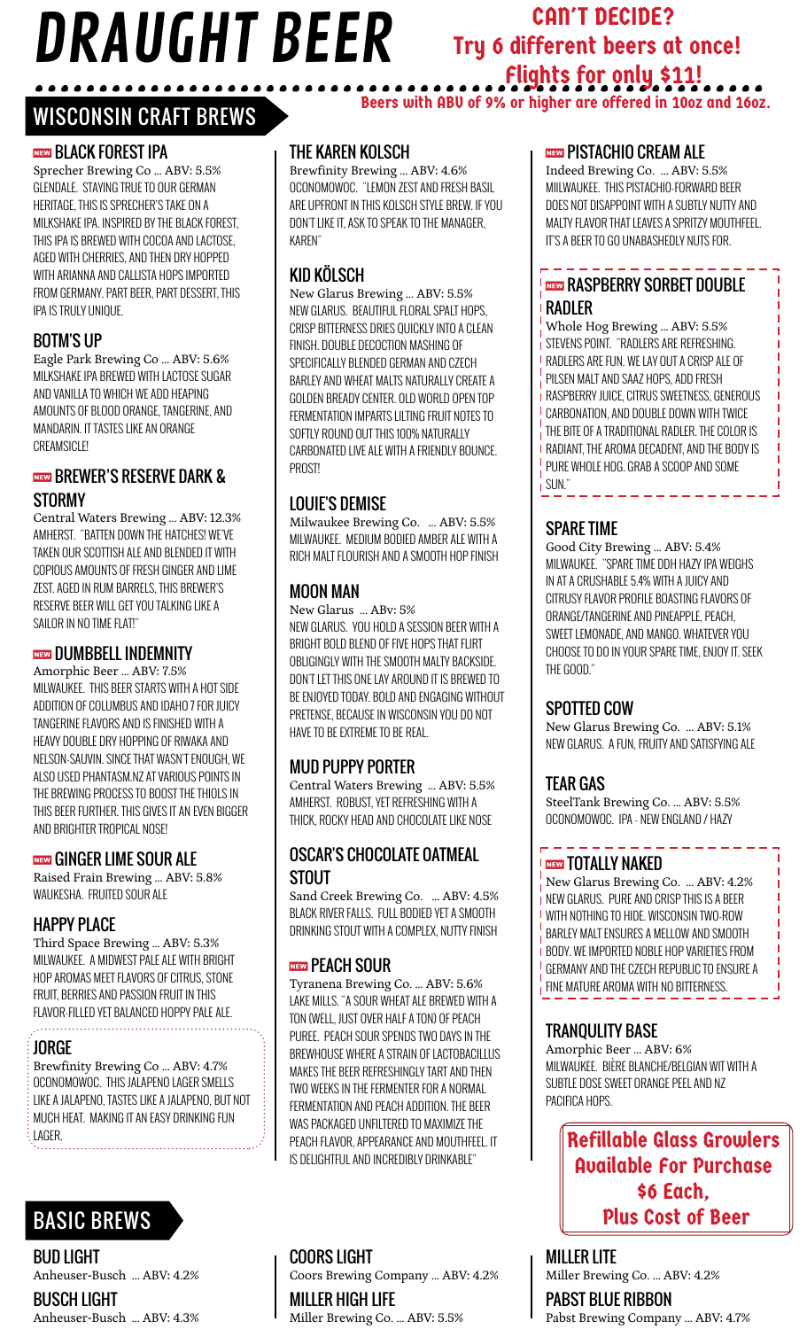# $JKAUUTI$   $DLEK$  Try 6 different beers at once!<br> $\frac{1}{2}$  flights for only \$11! DRAUGHT BEER

# CAN'T DECIDE? Try 6 different beers at once! Flights for only \$11!

Beers with ABV of 9% or higher are offered in 10oz and 16oz.

# WISCONSIN CRAFT BREWS

#### **NEW BLACK FOREST IPA**

Sprecher Brewing Co … ABV: 5.5% GLENDALE. STAYING TRUE TO OUR GERMAN HERITAGE, THIS IS SPRECHER'S TAKE ON A MILKSHAKE IPA. INSPIRED BY THE BLACK FOREST, THIS IPA IS BREWED WITH COCOA AND LACTOSE, AGED WITH CHERRIES, AND THEN DRY HOPPED WITH ARIANNA AND CALLISTA HOPS IMPORTED FROM GERMANY. PART BEER, PART DESSERT, THIS IPA IS TRULY UNIQUE.

#### BOTM'S UP

Eagle Park Brewing Co … ABV: 5.6% MILKSHAKE IPA BREWED WITH LACTOSE SUGAR AND VANILLA TO WHICH WE ADD HEAPING AMOUNTS OF BLOOD ORANGE, TANGERINE, AND MANDARIN. IT TASTES LIKE AN ORANGE CREAMSICLE!

#### **NEW BREWER'S RESERVE DARK & The CONSTRUCTION CONSTRUCTS OF SUN."** STORMY

Central Waters Brewing … ABV: 12.3% AMHERST. "BATTEN DOWN THE HATCHES! WE'VE TAKEN OUR SCOTTISH ALE AND BLENDED IT WITH COPIOUS AMOUNTS OF FRESH GINGER AND LIME ZEST. AGED IN RUM BARRELS, THIS BREWER'S RESERVE BEER WILL GET YOU TALKING LIKE A SAILOR IN NO TIME FLAT!"

#### **NEW DUMBBELL INDEMNITY**

Amorphic Beer … ABV: 7.5% MILWAUKEE. THIS BEER STARTS WITH A HOT SIDE ADDITION OF COLUMBUS AND IDAHO 7 FOR JUICY TANGERINE FLAVORS AND IS FINISHED WITH A HEAVY DOUBLE DRY HOPPING OF RIWAKA AND NELSON-SAUVIN. SINCE THAT WASN'T ENOUGH, WE ALSO USED PHANTASM.NZ AT VARIOUS POINTS IN THE BREWING PROCESS TO BOOST THE THIOLS IN THIS BEER FURTHER. THIS GIVES IT AN EVEN BIGGER AND BRIGHTER TROPICAL NOSE!

#### **NEW GINGER LIME SOUR ALE**

Raised Frain Brewing … ABV: 5.8% WAUKESHA. FRUITED SOUR ALE

#### HAPPY PLACE

Third Space Brewing … ABV: 5.3% MILWAUKEE. A MIDWEST PALE ALE WITH BRIGHT HOP AROMAS MEET FLAVORS OF CITRUS, STONE FRUIT, BERRIES AND PASSION FRUIT IN THIS FLAVOR-FILLED YET BALANCED HOPPY PALE ALE.

#### JORGE

Brewfinity Brewing Co … ABV: 4.7% OCONOMOWOC. THIS JALAPENO LAGER SMELLS LIKE A JALAPENO, TASTES LIKE A JALAPENO, BUT NOT MUCH HEAT. MAKING IT AN EASY DRINKING FUN LAGER.

# BASIC BREWS

#### BUD LIGHT

Anheuser-Busch … ABV: 4.2%

# BUSCH LIGHT

Anheuser-Busch … ABV: 4.3%

#### THE KAREN KOLSCH

Brewfinity Brewing … ABV: 4.6% OCONOMOWOC. "LEMON ZEST AND FRESH BASIL ARE UPFRONT IN THIS KOLSCH STYLE BREW. IF YOU DON'T LIKE IT, ASK TO SPEAK TO THE MANAGER, KAREN"

#### KID KÖLSCH

New Glarus Brewing … ABV: 5.5% NEW GLARUS. BEAUTIFUL FLORAL SPALT HOPS, CRISP BITTERNESS DRIES QUICKLY INTO A CLEAN FINISH. DOUBLE DECOCTION MASHING OF SPECIFICALLY BLENDED GERMAN AND CZECH BARLEY AND WHEAT MALTS NATURALLY CREATE A GOLDEN BREADY CENTER. OLD WORLD OPEN TOP FERMENTATION IMPARTS LILTING FRUIT NOTES TO SOFTLY ROUND OUT THIS 100% NATURALLY CARBONATED LIVE ALE WITH A FRIENDLY BOUNCE. PROST!

#### LOUIE'S DEMISE

Milwaukee Brewing Co. … ABV: 5.5% MILWAUKEE. MEDIUM BODIED AMBER ALE WITH A RICH MALT FLOURISH AND A SMOOTH HOP FINISH

#### MOON MAN

New Glarus … ABv: 5% NEW GLARUS. YOU HOLD A SESSION BEER WITH A BRIGHT BOLD BLEND OF FIVE HOPS THAT FLIRT OBLIGINGLY WITH THE SMOOTH MALTY BACKSIDE. DON'T LET THIS ONE LAY AROUND IT IS BREWED TO BE ENJOYED TODAY. BOLD AND ENGAGING WITHOUT PRETENSE, BECAUSE IN WISCONSIN YOU DO NOT HAVE TO BE EXTREME TO BE REAL.

#### MUD PUPPY PORTER

Central Waters Brewing … ABV: 5.5% AMHERST. ROBUST, YET REFRESHING WITH A THICK, ROCKY HEAD AND CHOCOLATE LIKE NOSE

#### OSCAR'S CHOCOLATE OATMEAL STOUT

Sand Creek Brewing Co. … ABV: 4.5% BLACK RIVER FALLS. FULL BODIED YET A SMOOTH DRINKING STOUT WITH A COMPLEX, NUTTY FINISH

#### **NEW PEACH SOUR**

Tyranena Brewing Co. … ABV: 5.6% LAKE MILLS. "A SOUR WHEAT ALE BREWED WITH A TON (WELL, JUST OVER HALF A TON) OF PEACH PUREE. PEACH SOUR SPENDS TWO DAYS IN THE BREWHOUSE WHERE A STRAIN OF LACTOBACILLUS MAKES THE BEER REFRESHINGLY TART AND THEN TWO WEEKS IN THE FERMENTER FOR A NORMAL FERMENTATION AND PEACH ADDITION. THE BEER WAS PACKAGED UNFILTERED TO MAXIMIZE THE PEACH FLAVOR, APPEARANCE AND MOUTHFEEL. IT IS DELIGHTFUL AND INCREDIBLY DRINKABLE"

#### **NEW PISTACHIO CREAM ALE**

Indeed Brewing Co. … ABV: 5.5% MIILWAUKEE. THIS PISTACHIO-FORWARD BEER DOES NOT DISAPPOINT WITH A SUBTLY NUTTY AND MALTY FLAVOR THAT LEAVES A SPRITZY MOUTHFEEL. IT'S A BEER TO GO UNABASHEDLY NUTS FOR.

#### **REEW RASPBERRY SORBET DOUBLE** RADLER

Whole Hog Brewing … ABV: 5.5% STEVENS POINT. "RADLERS ARE REFRESHING. RADLERS ARE FUN. WE LAY OUT A CRISP ALE OF PILSEN MALT AND SAAZ HOPS, ADD FRESH RASPBERRY JUICE, CITRUS SWEETNESS, GENEROUS CARBONATION, AND DOUBLE DOWN WITH TWICE THE BITE OF A TRADITIONAL RADLER. THE COLOR IS RADIANT, THE AROMA DECADENT, AND THE BODY IS PURE WHOLE HOG. GRAB A SCOOP AND SOME

#### SPARE TIME

Good City Brewing … ABV: 5.4% MILWAUKEE. "SPARE TIME DDH HAZY IPA WEIGHS IN AT A CRUSHABLE 5.4% WITH A JUICY AND CITRUSY FLAVOR PROFILE BOASTING FLAVORS OF ORANGE/TANGERINE AND PINEAPPLE, PEACH, SWEET LEMONADE, AND MANGO. WHATEVER YOU CHOOSE TO DO IN YOUR SPARE TIME, ENJOY IT. SEEK THE GOOD."

#### SPOTTED COW

New Glarus Brewing Co. … ABV: 5.1% NEW GLARUS. A FUN, FRUITY AND SATISFYING ALE

#### TEAR GAS

SteelTank Brewing Co. … ABV: 5.5% OCONOMOWOC. IPA - NEW ENGLAND / HAZY

#### I NEW TOTALLY NAKED

New Glarus Brewing Co. … ABV: 4.2% NEW GLARUS. PURE AND CRISP THIS IS A BEER WITH NOTHING TO HIDE. WISCONSIN TWO-ROW BARLEY MALT ENSURES A MELLOW AND SMOOTH BODY. WE IMPORTED NOBLE HOP VARIETIES FROM GERMANY AND THE CZECH REPUBLIC TO ENSURE A FINE MATURE AROMA WITH NO BITTERNESS.

#### TRANQULITY BASE

Amorphic Beer … ABV: 6% MILWAUKEE. BIÈRE BLANCHE/BELGIAN WIT WITH A SUBTLE DOSE SWEET ORANGE PEEL AND NZ PACIFICA HOPS.

> Refillable Glass Growlers Available For Purchase \$6 Each, Plus Cost of Beer

MILLER LITE Miller Brewing Co. … ABV: 4.2%

PABST BLUE RIBBON Pabst Brewing Company … ABV: 4.7%

#### COORS LIGHT

Coors Brewing Company … ABV: 4.2%

MILLER HIGH LIFE Miller Brewing Co. … ABV: 5.5%